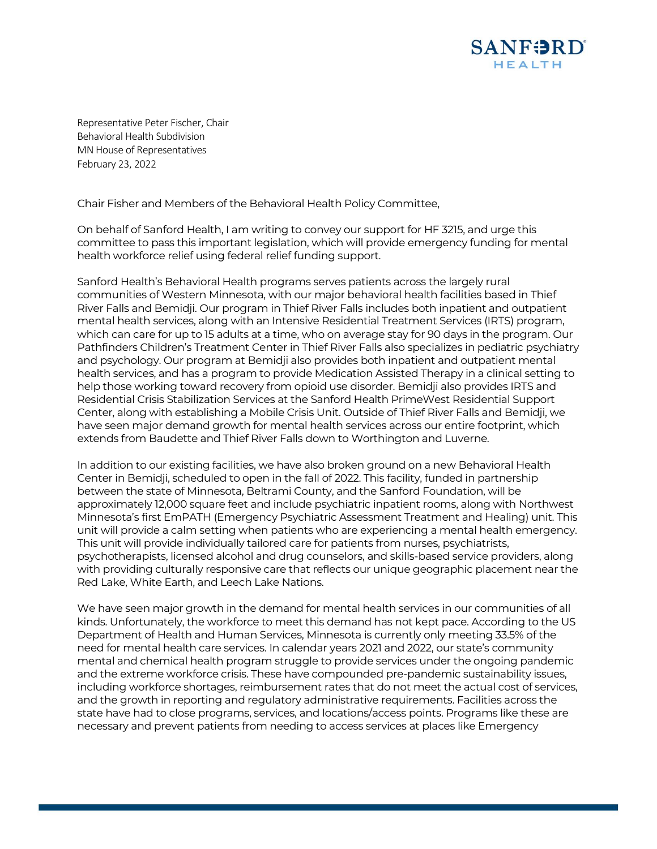

Representative Peter Fischer, Chair Behavioral Health Subdivision MN House of Representatives February 23, 2022

Chair Fisher and Members of the Behavioral Health Policy Committee,

On behalf of Sanford Health, I am writing to convey our support for HF 3215, and urge this committee to pass this important legislation, which will provide emergency funding for mental health workforce relief using federal relief funding support.

Sanford Health's Behavioral Health programs serves patients across the largely rural communities of Western Minnesota, with our major behavioral health facilities based in Thief River Falls and Bemidji. Our program in Thief River Falls includes both inpatient and outpatient mental health services, along with an Intensive Residential Treatment Services (IRTS) program, which can care for up to 15 adults at a time, who on average stay for 90 days in the program. Our Pathfinders Children's Treatment Center in Thief River Falls also specializes in pediatric psychiatry and psychology. Our program at Bemidji also provides both inpatient and outpatient mental health services, and has a program to provide Medication Assisted Therapy in a clinical setting to help those working toward recovery from opioid use disorder. Bemidji also provides IRTS and Residential Crisis Stabilization Services at the Sanford Health PrimeWest Residential Support Center, along with establishing a Mobile Crisis Unit. Outside of Thief River Falls and Bemidji, we have seen major demand growth for mental health services across our entire footprint, which extends from Baudette and Thief River Falls down to Worthington and Luverne.

In addition to our existing facilities, we have also broken ground on a new Behavioral Health Center in Bemidji, scheduled to open in the fall of 2022. This facility, funded in partnership between the state of Minnesota, Beltrami County, and the Sanford Foundation, will be approximately 12,000 square feet and include psychiatric inpatient rooms, along with Northwest Minnesota's first EmPATH (Emergency Psychiatric Assessment Treatment and Healing) unit. This unit will provide a calm setting when patients who are experiencing a mental health emergency. This unit will provide individually tailored care for patients from nurses, psychiatrists, psychotherapists, licensed alcohol and drug counselors, and skills-based service providers, along with providing culturally responsive care that reflects our unique geographic placement near the Red Lake, White Earth, and Leech Lake Nations.

We have seen major growth in the demand for mental health services in our communities of all kinds. Unfortunately, the workforce to meet this demand has not kept pace. According to the US Department of Health and Human Services, Minnesota is currently only meeting 33.5% of the need for mental health care services. In calendar years 2021 and 2022, our state's community mental and chemical health program struggle to provide services under the ongoing pandemic and the extreme workforce crisis. These have compounded pre-pandemic sustainability issues, including workforce shortages, reimbursement rates that do not meet the actual cost of services, and the growth in reporting and regulatory administrative requirements. Facilities across the state have had to close programs, services, and locations/access points. Programs like these are necessary and prevent patients from needing to access services at places like Emergency